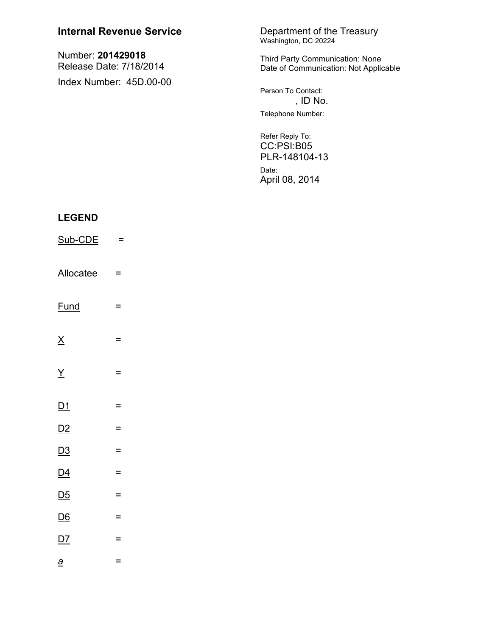| <b>Internal Revenue Service</b>                                         |          | Department of the Treasury<br>Washington, DC 20224                       |
|-------------------------------------------------------------------------|----------|--------------------------------------------------------------------------|
| Number: 201429018<br>Release Date: 7/18/2014<br>Index Number: 45D.00-00 |          | Third Party Communication: None<br>Date of Communication: Not Applicable |
|                                                                         |          | Person To Contact:<br>, ID No.<br>Telephone Number:                      |
|                                                                         |          |                                                                          |
|                                                                         |          | Refer Reply To:<br>CC:PSI:B05<br>PLR-148104-13                           |
|                                                                         |          | Date:<br>April 08, 2014                                                  |
| <b>LEGEND</b>                                                           |          |                                                                          |
| Sub-CDE                                                                 | $=$      |                                                                          |
| <b>Allocatee</b>                                                        | =        |                                                                          |
| <b>Fund</b>                                                             | =        |                                                                          |
| $\underline{X}$                                                         | $=$      |                                                                          |
| $\overline{X}$                                                          | $\equiv$ |                                                                          |
| <u>D1</u>                                                               | $=$      |                                                                          |
| D2                                                                      | $\equiv$ |                                                                          |
| D3                                                                      | $\equiv$ |                                                                          |

- $\underline{\mathsf{D4}}$  $\equiv$
- $\overline{D5}$  $\equiv$  $\underline{\mathsf{D6}}$  $\equiv$
- $D7$  $\equiv$
- $\underline{a}$  $\equiv$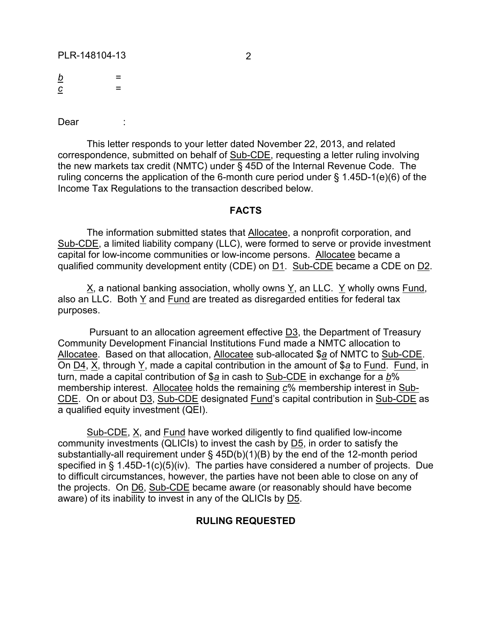PLR-148104-13 2

*b* = ------ *c* =

Dear :

This letter responds to your letter dated November 22, 2013, and related correspondence, submitted on behalf of Sub-CDE, requesting a letter ruling involving the new markets tax credit (NMTC) under § 45D of the Internal Revenue Code. The ruling concerns the application of the 6-month cure period under § 1.45D-1(e)(6) of the Income Tax Regulations to the transaction described below.

## **FACTS**

The information submitted states that Allocatee, a nonprofit corporation, and Sub-CDE, a limited liability company (LLC), were formed to serve or provide investment capital for low-income communities or low-income persons. Allocatee became a qualified community development entity (CDE) on D1. Sub-CDE became a CDE on D2.

X, a national banking association, wholly owns Y, an LLC. Y wholly owns Fund, also an LLC. Both Y and Fund are treated as disregarded entities for federal tax purposes.

Pursuant to an allocation agreement effective D3, the Department of Treasury Community Development Financial Institutions Fund made a NMTC allocation to Allocatee. Based on that allocation, Allocatee sub-allocated \$*a* of NMTC to Sub-CDE. On D4, X, through Y, made a capital contribution in the amount of \$*a* to Fund. Fund, in turn, made a capital contribution of \$*a* in cash to Sub-CDE in exchange for a *b*% membership interest. Allocatee holds the remaining *c*% membership interest in Sub-CDE. On or about D3, Sub-CDE designated Fund's capital contribution in Sub-CDE as a qualified equity investment (QEI).

Sub-CDE, X, and Fund have worked diligently to find qualified low-income community investments (QLICIs) to invest the cash by D5, in order to satisfy the substantially-all requirement under § 45D(b)(1)(B) by the end of the 12-month period specified in § 1.45D-1(c)(5)(iv). The parties have considered a number of projects. Due to difficult circumstances, however, the parties have not been able to close on any of the projects. On D6, Sub-CDE became aware (or reasonably should have become aware) of its inability to invest in any of the QLICIs by D5.

## **RULING REQUESTED**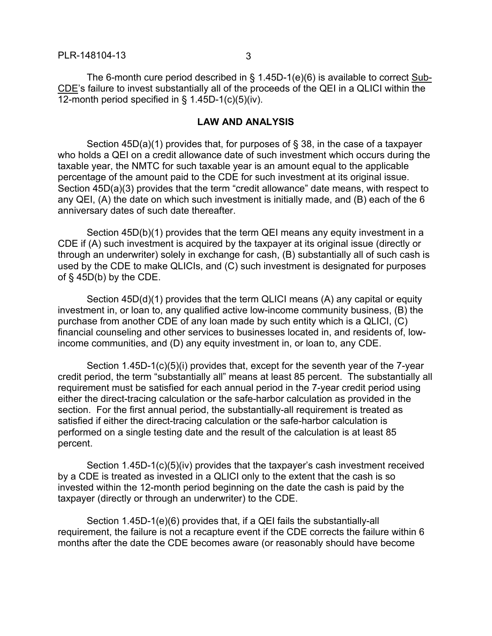The 6-month cure period described in § 1.45D-1(e)(6) is available to correct Sub-CDE's failure to invest substantially all of the proceeds of the QEI in a QLICI within the 12-month period specified in § 1.45D-1(c)(5)(iv).

## **LAW AND ANALYSIS**

Section 45D(a)(1) provides that, for purposes of § 38, in the case of a taxpayer who holds a QEI on a credit allowance date of such investment which occurs during the taxable year, the NMTC for such taxable year is an amount equal to the applicable percentage of the amount paid to the CDE for such investment at its original issue. Section 45D(a)(3) provides that the term "credit allowance" date means, with respect to any QEI, (A) the date on which such investment is initially made, and (B) each of the 6 anniversary dates of such date thereafter.

Section 45D(b)(1) provides that the term QEI means any equity investment in a CDE if (A) such investment is acquired by the taxpayer at its original issue (directly or through an underwriter) solely in exchange for cash, (B) substantially all of such cash is used by the CDE to make QLICIs, and (C) such investment is designated for purposes of § 45D(b) by the CDE.

Section 45D(d)(1) provides that the term QLICI means (A) any capital or equity investment in, or loan to, any qualified active low-income community business, (B) the purchase from another CDE of any loan made by such entity which is a QLICI, (C) financial counseling and other services to businesses located in, and residents of, lowincome communities, and (D) any equity investment in, or loan to, any CDE.

Section 1.45D-1(c)(5)(i) provides that, except for the seventh year of the 7-year credit period, the term "substantially all" means at least 85 percent. The substantially all requirement must be satisfied for each annual period in the 7-year credit period using either the direct-tracing calculation or the safe-harbor calculation as provided in the section. For the first annual period, the substantially-all requirement is treated as satisfied if either the direct-tracing calculation or the safe-harbor calculation is performed on a single testing date and the result of the calculation is at least 85 percent.

Section 1.45D-1(c)(5)(iv) provides that the taxpayer's cash investment received by a CDE is treated as invested in a QLICI only to the extent that the cash is so invested within the 12-month period beginning on the date the cash is paid by the taxpayer (directly or through an underwriter) to the CDE.

Section 1.45D-1(e)(6) provides that, if a QEI fails the substantially-all requirement, the failure is not a recapture event if the CDE corrects the failure within 6 months after the date the CDE becomes aware (or reasonably should have become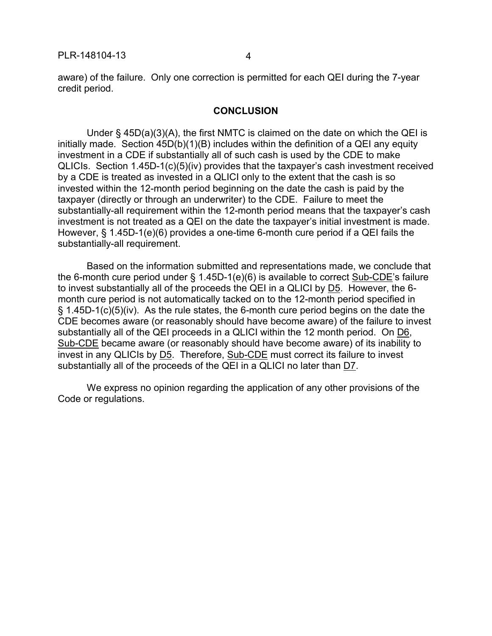aware) of the failure. Only one correction is permitted for each QEI during the 7-year credit period.

## **CONCLUSION**

Under § 45D(a)(3)(A), the first NMTC is claimed on the date on which the QEI is initially made. Section 45D(b)(1)(B) includes within the definition of a QEI any equity investment in a CDE if substantially all of such cash is used by the CDE to make QLICIs. Section 1.45D-1(c)(5)(iv) provides that the taxpayer's cash investment received by a CDE is treated as invested in a QLICI only to the extent that the cash is so invested within the 12-month period beginning on the date the cash is paid by the taxpayer (directly or through an underwriter) to the CDE. Failure to meet the substantially-all requirement within the 12-month period means that the taxpayer's cash investment is not treated as a QEI on the date the taxpayer's initial investment is made. However, § 1.45D-1(e)(6) provides a one-time 6-month cure period if a QEI fails the substantially-all requirement.

Based on the information submitted and representations made, we conclude that the 6-month cure period under § 1.45D-1(e)(6) is available to correct Sub-CDE's failure to invest substantially all of the proceeds the QEI in a QLICI by D5. However, the 6 month cure period is not automatically tacked on to the 12-month period specified in  $\S$  1.45D-1(c)(5)(iv). As the rule states, the 6-month cure period begins on the date the CDE becomes aware (or reasonably should have become aware) of the failure to invest substantially all of the QEI proceeds in a QLICI within the 12 month period. On D6, Sub-CDE became aware (or reasonably should have become aware) of its inability to invest in any QLICIs by D5. Therefore, Sub-CDE must correct its failure to invest substantially all of the proceeds of the QEI in a QLICI no later than D7.

We express no opinion regarding the application of any other provisions of the Code or regulations.